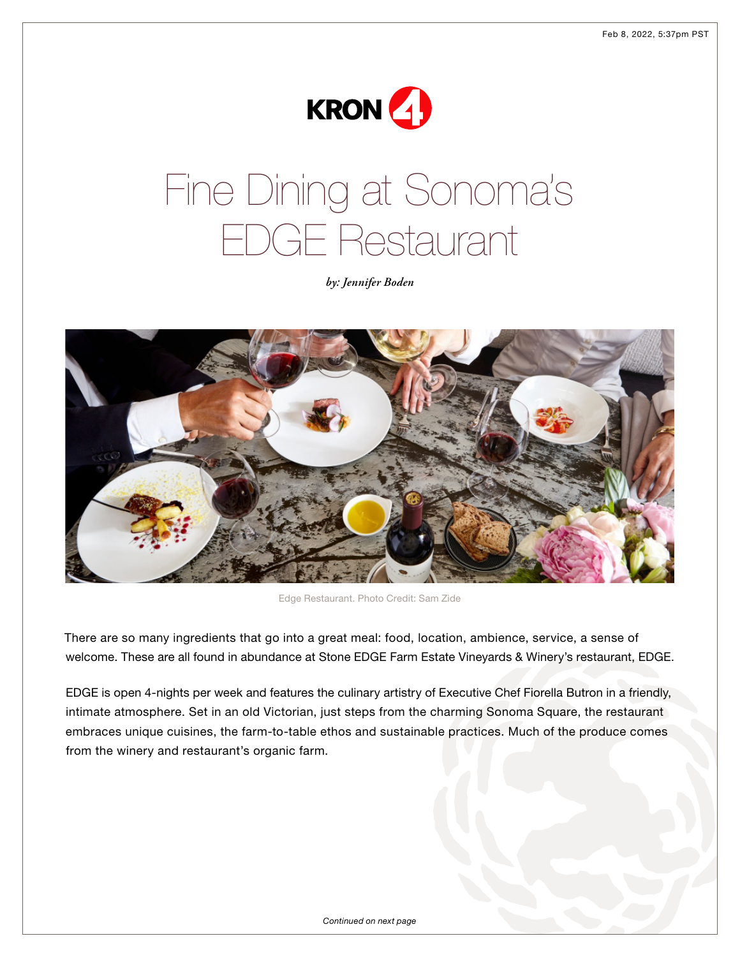

## Fine Dining at Sonoma's EDGE Restaurant

*by: Jennifer Boden*



Edge Restaurant. Photo Credit: Sam Zide

There are so many ingredients that go into a great meal: food, location, ambience, service, a sense of welcome. These are all found in abundance at Stone EDGE Farm Estate Vineyards & Winery's restaurant, EDGE.

EDGE is open 4-nights per week and features the culinary artistry of Executive Chef Fiorella Butron in a friendly, intimate atmosphere. Set in an old Victorian, just steps from the charming Sonoma Square, the restaurant embraces unique cuisines, the farm-to-table ethos and sustainable practices. Much of the produce comes from the winery and restaurant's organic farm.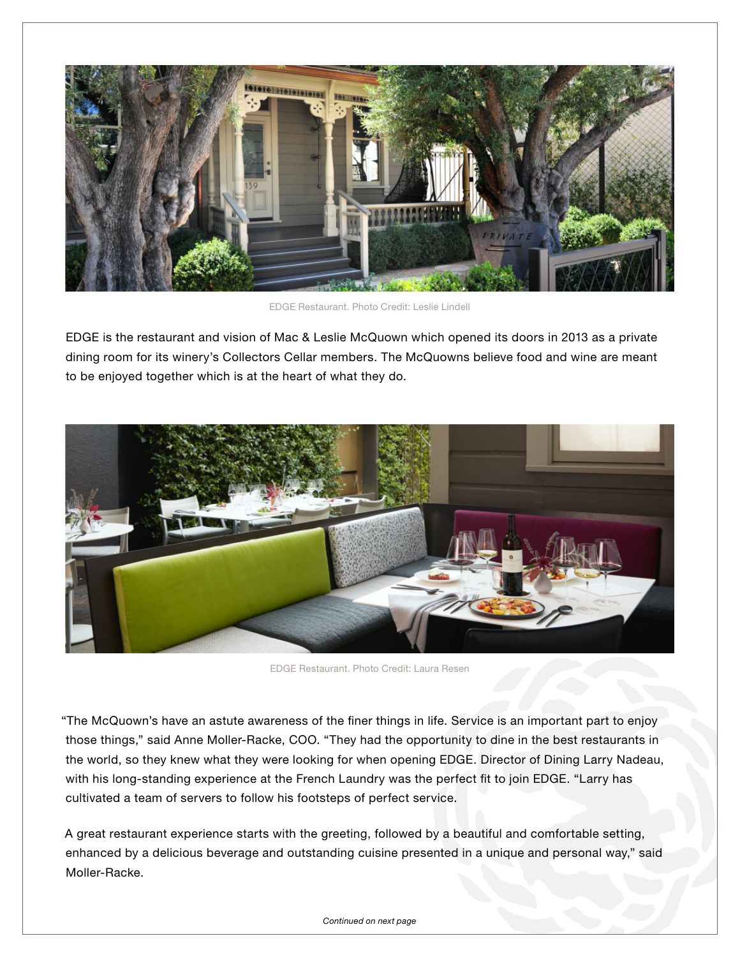

EDGE Restaurant. Photo Credit: Leslie Lindell

EDGE is the restaurant and vision of Mac & Leslie McQuown which opened its doors in 2013 as a private dining room for its winery's Collectors Cellar members. The McQuowns believe food and wine are meant to be enjoyed together which is at the heart of what they do.



EDGE Restaurant. Photo Credit: Laura Resen

"The McQuown's have an astute awareness of the finer things in life. Service is an important part to enjoy those things," said Anne Moller-Racke, COO. "They had the opportunity to dine in the best restaurants in the world, so they knew what they were looking for when opening EDGE. Director of Dining Larry Nadeau, with his long-standing experience at the French Laundry was the perfect fit to join EDGE. "Larry has cultivated a team of servers to follow his footsteps of perfect service.

A great restaurant experience starts with the greeting, followed by a beautiful and comfortable setting, enhanced by a delicious beverage and outstanding cuisine presented in a unique and personal way," said Moller-Racke.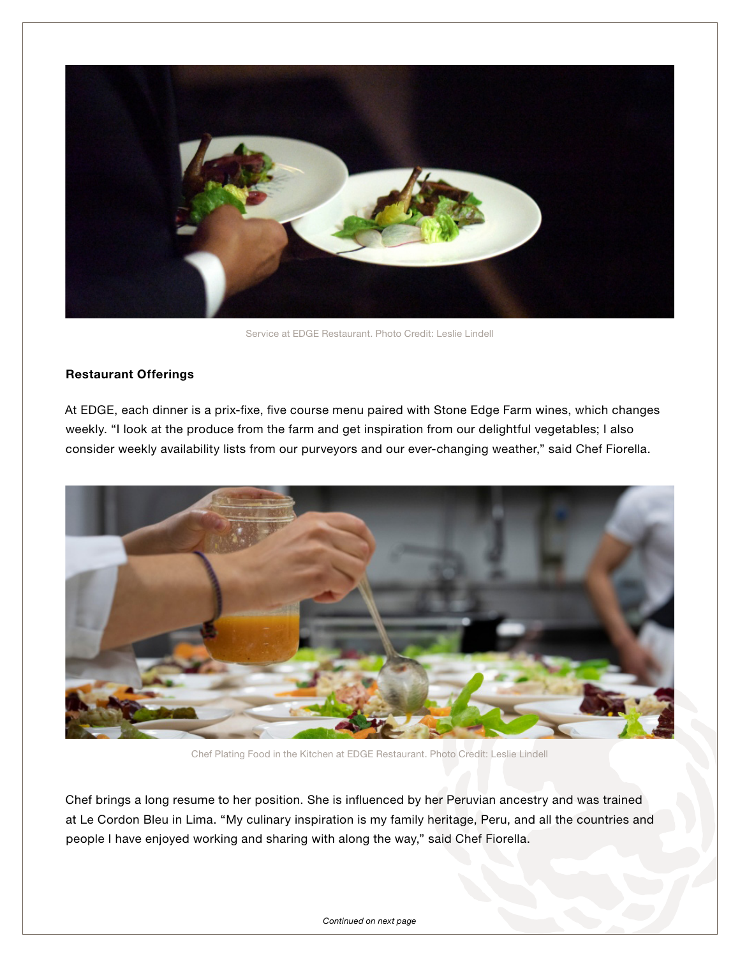

Service at EDGE Restaurant. Photo Credit: Leslie Lindell

## Restaurant Offerings

At EDGE, each dinner is a prix-fixe, five course menu paired with Stone Edge Farm wines, which changes weekly. "I look at the produce from the farm and get inspiration from our delightful vegetables; I also consider weekly availability lists from our purveyors and our ever-changing weather," said Chef Fiorella.



Chef Plating Food in the Kitchen at EDGE Restaurant. Photo Credit: Leslie Lindell

Chef brings a long resume to her position. She is influenced by her Peruvian ancestry and was trained at Le Cordon Bleu in Lima. "My culinary inspiration is my family heritage, Peru, and all the countries and people I have enjoyed working and sharing with along the way," said Chef Fiorella.